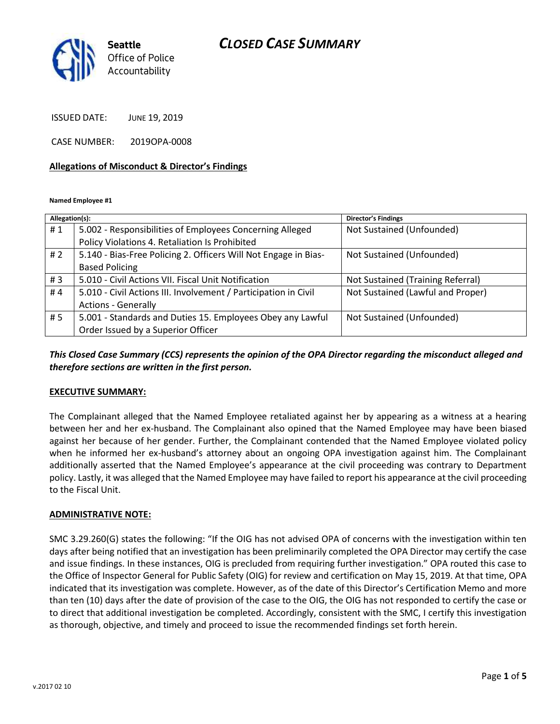# *CLOSED CASE SUMMARY*



ISSUED DATE: JUNE 19, 2019

CASE NUMBER: 2019OPA-0008

#### **Allegations of Misconduct & Director's Findings**

**Named Employee #1**

| Allegation(s): |                                                                 | Director's Findings               |
|----------------|-----------------------------------------------------------------|-----------------------------------|
| #1             | 5.002 - Responsibilities of Employees Concerning Alleged        | Not Sustained (Unfounded)         |
|                | Policy Violations 4. Retaliation Is Prohibited                  |                                   |
| #2             | 5.140 - Bias-Free Policing 2. Officers Will Not Engage in Bias- | Not Sustained (Unfounded)         |
|                | <b>Based Policing</b>                                           |                                   |
| #3             | 5.010 - Civil Actions VII. Fiscal Unit Notification             | Not Sustained (Training Referral) |
| #4             | 5.010 - Civil Actions III. Involvement / Participation in Civil | Not Sustained (Lawful and Proper) |
|                | <b>Actions - Generally</b>                                      |                                   |
| # 5            | 5.001 - Standards and Duties 15. Employees Obey any Lawful      | Not Sustained (Unfounded)         |
|                | Order Issued by a Superior Officer                              |                                   |

## *This Closed Case Summary (CCS) represents the opinion of the OPA Director regarding the misconduct alleged and therefore sections are written in the first person.*

#### **EXECUTIVE SUMMARY:**

The Complainant alleged that the Named Employee retaliated against her by appearing as a witness at a hearing between her and her ex-husband. The Complainant also opined that the Named Employee may have been biased against her because of her gender. Further, the Complainant contended that the Named Employee violated policy when he informed her ex-husband's attorney about an ongoing OPA investigation against him. The Complainant additionally asserted that the Named Employee's appearance at the civil proceeding was contrary to Department policy. Lastly, it was alleged that the Named Employee may have failed to report his appearance at the civil proceeding to the Fiscal Unit.

#### **ADMINISTRATIVE NOTE:**

SMC 3.29.260(G) states the following: "If the OIG has not advised OPA of concerns with the investigation within ten days after being notified that an investigation has been preliminarily completed the OPA Director may certify the case and issue findings. In these instances, OIG is precluded from requiring further investigation." OPA routed this case to the Office of Inspector General for Public Safety (OIG) for review and certification on May 15, 2019. At that time, OPA indicated that its investigation was complete. However, as of the date of this Director's Certification Memo and more than ten (10) days after the date of provision of the case to the OIG, the OIG has not responded to certify the case or to direct that additional investigation be completed. Accordingly, consistent with the SMC, I certify this investigation as thorough, objective, and timely and proceed to issue the recommended findings set forth herein.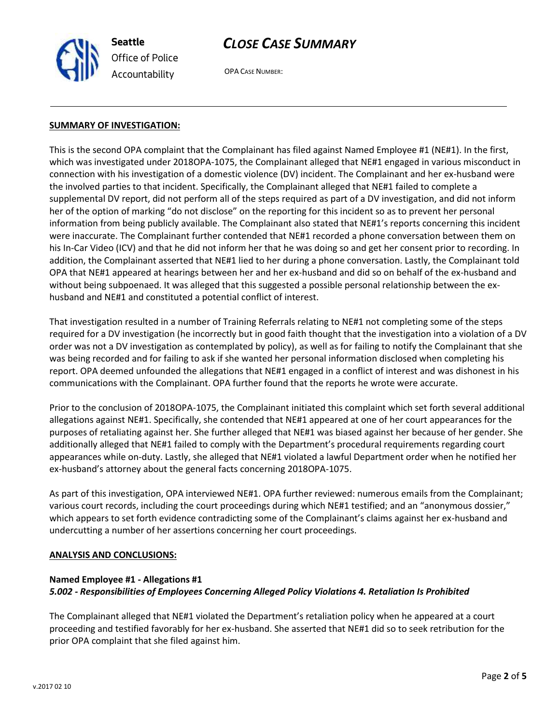



OPA CASE NUMBER:

### **SUMMARY OF INVESTIGATION:**

This is the second OPA complaint that the Complainant has filed against Named Employee #1 (NE#1). In the first, which was investigated under 2018OPA-1075, the Complainant alleged that NE#1 engaged in various misconduct in connection with his investigation of a domestic violence (DV) incident. The Complainant and her ex-husband were the involved parties to that incident. Specifically, the Complainant alleged that NE#1 failed to complete a supplemental DV report, did not perform all of the steps required as part of a DV investigation, and did not inform her of the option of marking "do not disclose" on the reporting for this incident so as to prevent her personal information from being publicly available. The Complainant also stated that NE#1's reports concerning this incident were inaccurate. The Complainant further contended that NE#1 recorded a phone conversation between them on his In-Car Video (ICV) and that he did not inform her that he was doing so and get her consent prior to recording. In addition, the Complainant asserted that NE#1 lied to her during a phone conversation. Lastly, the Complainant told OPA that NE#1 appeared at hearings between her and her ex-husband and did so on behalf of the ex-husband and without being subpoenaed. It was alleged that this suggested a possible personal relationship between the exhusband and NE#1 and constituted a potential conflict of interest.

That investigation resulted in a number of Training Referrals relating to NE#1 not completing some of the steps required for a DV investigation (he incorrectly but in good faith thought that the investigation into a violation of a DV order was not a DV investigation as contemplated by policy), as well as for failing to notify the Complainant that she was being recorded and for failing to ask if she wanted her personal information disclosed when completing his report. OPA deemed unfounded the allegations that NE#1 engaged in a conflict of interest and was dishonest in his communications with the Complainant. OPA further found that the reports he wrote were accurate.

Prior to the conclusion of 2018OPA-1075, the Complainant initiated this complaint which set forth several additional allegations against NE#1. Specifically, she contended that NE#1 appeared at one of her court appearances for the purposes of retaliating against her. She further alleged that NE#1 was biased against her because of her gender. She additionally alleged that NE#1 failed to comply with the Department's procedural requirements regarding court appearances while on-duty. Lastly, she alleged that NE#1 violated a lawful Department order when he notified her ex-husband's attorney about the general facts concerning 2018OPA-1075.

As part of this investigation, OPA interviewed NE#1. OPA further reviewed: numerous emails from the Complainant; various court records, including the court proceedings during which NE#1 testified; and an "anonymous dossier," which appears to set forth evidence contradicting some of the Complainant's claims against her ex-husband and undercutting a number of her assertions concerning her court proceedings.

### **ANALYSIS AND CONCLUSIONS:**

### **Named Employee #1 - Allegations #1**

### *5.002 - Responsibilities of Employees Concerning Alleged Policy Violations 4. Retaliation Is Prohibited*

The Complainant alleged that NE#1 violated the Department's retaliation policy when he appeared at a court proceeding and testified favorably for her ex-husband. She asserted that NE#1 did so to seek retribution for the prior OPA complaint that she filed against him.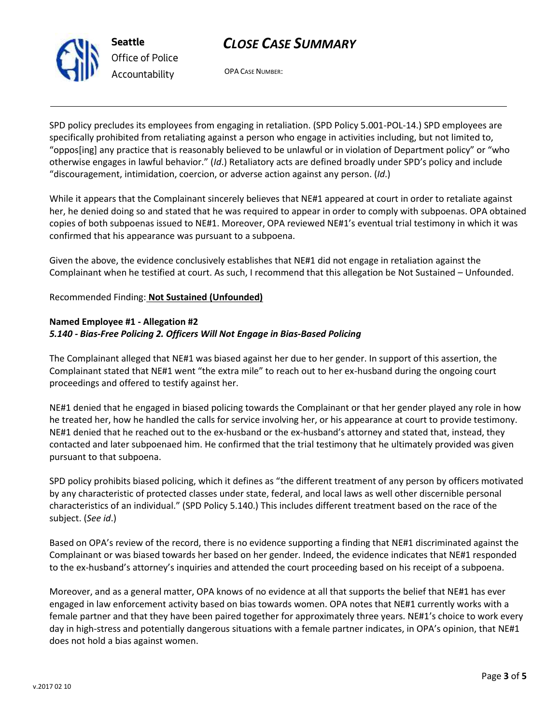# *CLOSE CASE SUMMARY*



*Office of Police Accountability*

OPA CASE NUMBER:

SPD policy precludes its employees from engaging in retaliation. (SPD Policy 5.001-POL-14.) SPD employees are specifically prohibited from retaliating against a person who engage in activities including, but not limited to, "oppos[ing] any practice that is reasonably believed to be unlawful or in violation of Department policy" or "who otherwise engages in lawful behavior." (*Id*.) Retaliatory acts are defined broadly under SPD's policy and include "discouragement, intimidation, coercion, or adverse action against any person. (*Id*.)

While it appears that the Complainant sincerely believes that NE#1 appeared at court in order to retaliate against her, he denied doing so and stated that he was required to appear in order to comply with subpoenas. OPA obtained copies of both subpoenas issued to NE#1. Moreover, OPA reviewed NE#1's eventual trial testimony in which it was confirmed that his appearance was pursuant to a subpoena.

Given the above, the evidence conclusively establishes that NE#1 did not engage in retaliation against the Complainant when he testified at court. As such, I recommend that this allegation be Not Sustained – Unfounded.

## Recommended Finding: **Not Sustained (Unfounded)**

## **Named Employee #1 - Allegation #2** *5.140 - Bias-Free Policing 2. Officers Will Not Engage in Bias-Based Policing*

The Complainant alleged that NE#1 was biased against her due to her gender. In support of this assertion, the Complainant stated that NE#1 went "the extra mile" to reach out to her ex-husband during the ongoing court proceedings and offered to testify against her.

NE#1 denied that he engaged in biased policing towards the Complainant or that her gender played any role in how he treated her, how he handled the calls for service involving her, or his appearance at court to provide testimony. NE#1 denied that he reached out to the ex-husband or the ex-husband's attorney and stated that, instead, they contacted and later subpoenaed him. He confirmed that the trial testimony that he ultimately provided was given pursuant to that subpoena.

SPD policy prohibits biased policing, which it defines as "the different treatment of any person by officers motivated by any characteristic of protected classes under state, federal, and local laws as well other discernible personal characteristics of an individual." (SPD Policy 5.140.) This includes different treatment based on the race of the subject. (*See id*.)

Based on OPA's review of the record, there is no evidence supporting a finding that NE#1 discriminated against the Complainant or was biased towards her based on her gender. Indeed, the evidence indicates that NE#1 responded to the ex-husband's attorney's inquiries and attended the court proceeding based on his receipt of a subpoena.

Moreover, and as a general matter, OPA knows of no evidence at all that supports the belief that NE#1 has ever engaged in law enforcement activity based on bias towards women. OPA notes that NE#1 currently works with a female partner and that they have been paired together for approximately three years. NE#1's choice to work every day in high-stress and potentially dangerous situations with a female partner indicates, in OPA's opinion, that NE#1 does not hold a bias against women.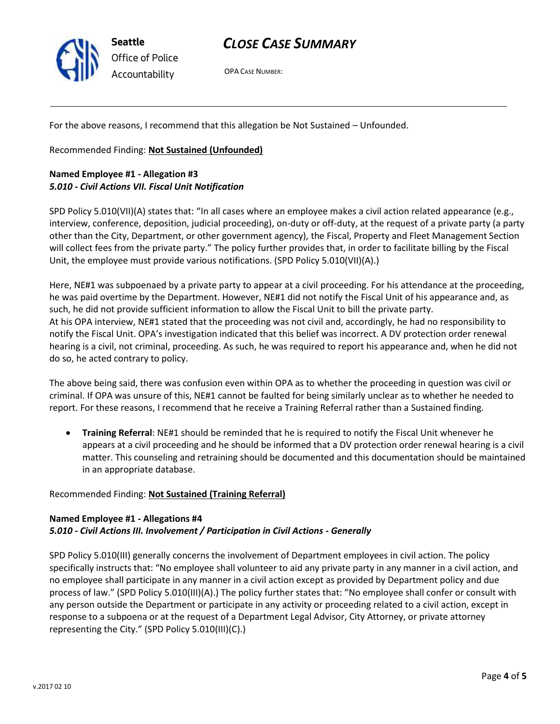

**Seattle** *Office of Police Accountability*

# *CLOSE CASE SUMMARY*

OPA CASE NUMBER:

For the above reasons, I recommend that this allegation be Not Sustained – Unfounded.

Recommended Finding: **Not Sustained (Unfounded)**

## **Named Employee #1 - Allegation #3** *5.010 - Civil Actions VII. Fiscal Unit Notification*

SPD Policy 5.010(VII)(A) states that: "In all cases where an employee makes a civil action related appearance (e.g., interview, conference, deposition, judicial proceeding), on-duty or off-duty, at the request of a private party (a party other than the City, Department, or other government agency), the Fiscal, Property and Fleet Management Section will collect fees from the private party." The policy further provides that, in order to facilitate billing by the Fiscal Unit, the employee must provide various notifications. (SPD Policy 5.010(VII)(A).)

Here, NE#1 was subpoenaed by a private party to appear at a civil proceeding. For his attendance at the proceeding, he was paid overtime by the Department. However, NE#1 did not notify the Fiscal Unit of his appearance and, as such, he did not provide sufficient information to allow the Fiscal Unit to bill the private party. At his OPA interview, NE#1 stated that the proceeding was not civil and, accordingly, he had no responsibility to notify the Fiscal Unit. OPA's investigation indicated that this belief was incorrect. A DV protection order renewal hearing is a civil, not criminal, proceeding. As such, he was required to report his appearance and, when he did not do so, he acted contrary to policy.

The above being said, there was confusion even within OPA as to whether the proceeding in question was civil or criminal. If OPA was unsure of this, NE#1 cannot be faulted for being similarly unclear as to whether he needed to report. For these reasons, I recommend that he receive a Training Referral rather than a Sustained finding.

• **Training Referral**: NE#1 should be reminded that he is required to notify the Fiscal Unit whenever he appears at a civil proceeding and he should be informed that a DV protection order renewal hearing is a civil matter. This counseling and retraining should be documented and this documentation should be maintained in an appropriate database.

## Recommended Finding: **Not Sustained (Training Referral)**

## **Named Employee #1 - Allegations #4** *5.010 - Civil Actions III. Involvement / Participation in Civil Actions - Generally*

SPD Policy 5.010(III) generally concerns the involvement of Department employees in civil action. The policy specifically instructs that: "No employee shall volunteer to aid any private party in any manner in a civil action, and no employee shall participate in any manner in a civil action except as provided by Department policy and due process of law." (SPD Policy 5.010(III)(A).) The policy further states that: "No employee shall confer or consult with any person outside the Department or participate in any activity or proceeding related to a civil action, except in response to a subpoena or at the request of a Department Legal Advisor, City Attorney, or private attorney representing the City." (SPD Policy 5.010(III)(C).)